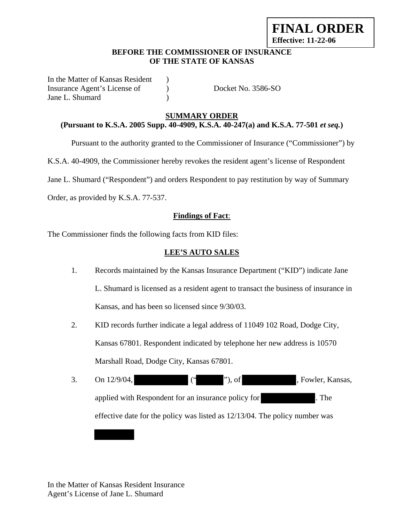# **FINAL ORDER Effective: 11-22-06**

#### **BEFORE THE COMMISSIONER OF INSURANCE OF THE STATE OF KANSAS**

In the Matter of Kansas Resident ) Insurance Agent's License of  $Docket No. 3586-SO$ Jane L. Shumard )

# **SUMMARY ORDER**

# **(Pursuant to K.S.A. 2005 Supp. 40-4909, K.S.A. 40-247(a) and K.S.A. 77-501** *et seq.***)**

Pursuant to the authority granted to the Commissioner of Insurance ("Commissioner") by

K.S.A. 40-4909, the Commissioner hereby revokes the resident agent's license of Respondent

Jane L. Shumard ("Respondent") and orders Respondent to pay restitution by way of Summary

Order, as provided by K.S.A. 77-537.

## **Findings of Fact**:

The Commissioner finds the following facts from KID files:

#### **LEE'S AUTO SALES**

- 1. Records maintained by the Kansas Insurance Department ("KID") indicate Jane L. Shumard is licensed as a resident agent to transact the business of insurance in Kansas, and has been so licensed since 9/30/03.
- 2. KID records further indicate a legal address of 11049 102 Road, Dodge City, Kansas 67801. Respondent indicated by telephone her new address is 10570 Marshall Road, Dodge City, Kansas 67801.
- 3. On 12/9/04, ("", of , Fowler, Kansas, applied with Respondent for an insurance policy for . The effective date for the policy was listed as 12/13/04. The policy number was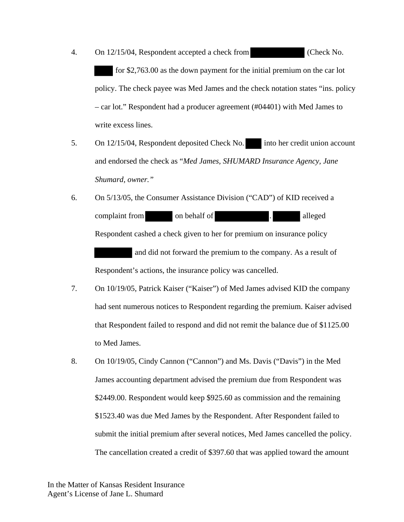- 4. On 12/15/04, Respondent accepted a check from (Check No. for \$2,763.00 as the down payment for the initial premium on the car lot policy. The check payee was Med James and the check notation states "ins. policy – car lot." Respondent had a producer agreement (#04401) with Med James to write excess lines.
- 5. On 12/15/04, Respondent deposited Check No. into her credit union account and endorsed the check as "*Med James, SHUMARD Insurance Agency, Jane Shumard, owner."*
- 6. On 5/13/05, the Consumer Assistance Division ("CAD") of KID received a complaint from on behalf of the same of the same of the same of the same of the same of the same of the same of the same of the same of the same of the same of the same of the same of the same of the same of the same of th Respondent cashed a check given to her for premium on insurance policy and did not forward the premium to the company. As a result of Respondent's actions, the insurance policy was cancelled.
- 7. On 10/19/05, Patrick Kaiser ("Kaiser") of Med James advised KID the company had sent numerous notices to Respondent regarding the premium. Kaiser advised that Respondent failed to respond and did not remit the balance due of \$1125.00 to Med James.
- 8. On 10/19/05, Cindy Cannon ("Cannon") and Ms. Davis ("Davis") in the Med James accounting department advised the premium due from Respondent was \$2449.00. Respondent would keep \$925.60 as commission and the remaining \$1523.40 was due Med James by the Respondent. After Respondent failed to submit the initial premium after several notices, Med James cancelled the policy. The cancellation created a credit of \$397.60 that was applied toward the amount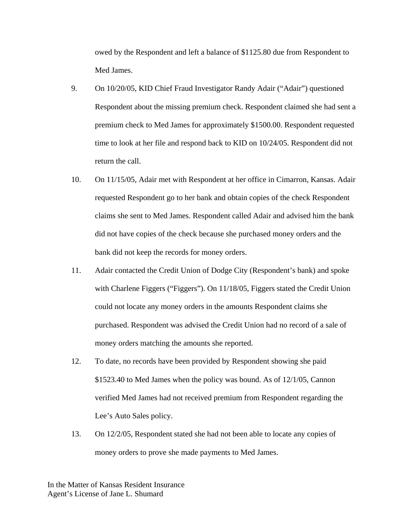owed by the Respondent and left a balance of \$1125.80 due from Respondent to Med James.

- 9. On 10/20/05, KID Chief Fraud Investigator Randy Adair ("Adair") questioned Respondent about the missing premium check. Respondent claimed she had sent a premium check to Med James for approximately \$1500.00. Respondent requested time to look at her file and respond back to KID on 10/24/05. Respondent did not return the call.
- 10. On 11/15/05, Adair met with Respondent at her office in Cimarron, Kansas. Adair requested Respondent go to her bank and obtain copies of the check Respondent claims she sent to Med James. Respondent called Adair and advised him the bank did not have copies of the check because she purchased money orders and the bank did not keep the records for money orders.
- 11. Adair contacted the Credit Union of Dodge City (Respondent's bank) and spoke with Charlene Figgers ("Figgers"). On 11/18/05, Figgers stated the Credit Union could not locate any money orders in the amounts Respondent claims she purchased. Respondent was advised the Credit Union had no record of a sale of money orders matching the amounts she reported.
- 12. To date, no records have been provided by Respondent showing she paid \$1523.40 to Med James when the policy was bound. As of 12/1/05, Cannon verified Med James had not received premium from Respondent regarding the Lee's Auto Sales policy.
- 13. On 12/2/05, Respondent stated she had not been able to locate any copies of money orders to prove she made payments to Med James.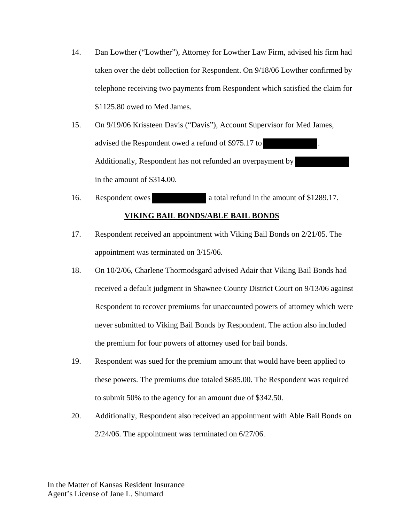- 14. Dan Lowther ("Lowther"), Attorney for Lowther Law Firm, advised his firm had taken over the debt collection for Respondent. On 9/18/06 Lowther confirmed by telephone receiving two payments from Respondent which satisfied the claim for \$1125.80 owed to Med James.
- 15. On 9/19/06 Krissteen Davis ("Davis"), Account Supervisor for Med James, advised the Respondent owed a refund of \$975.17 to . Additionally, Respondent has not refunded an overpayment by in the amount of \$314.00.
- 16. Respondent owes a total refund in the amount of \$1289.17. **VIKING BAIL BONDS/ABLE BAIL BONDS**
- 17. Respondent received an appointment with Viking Bail Bonds on 2/21/05. The appointment was terminated on 3/15/06.
- 18. On 10/2/06, Charlene Thormodsgard advised Adair that Viking Bail Bonds had received a default judgment in Shawnee County District Court on 9/13/06 against Respondent to recover premiums for unaccounted powers of attorney which were never submitted to Viking Bail Bonds by Respondent. The action also included the premium for four powers of attorney used for bail bonds.
- 19. Respondent was sued for the premium amount that would have been applied to these powers. The premiums due totaled \$685.00. The Respondent was required to submit 50% to the agency for an amount due of \$342.50.
- 20. Additionally, Respondent also received an appointment with Able Bail Bonds on 2/24/06. The appointment was terminated on 6/27/06.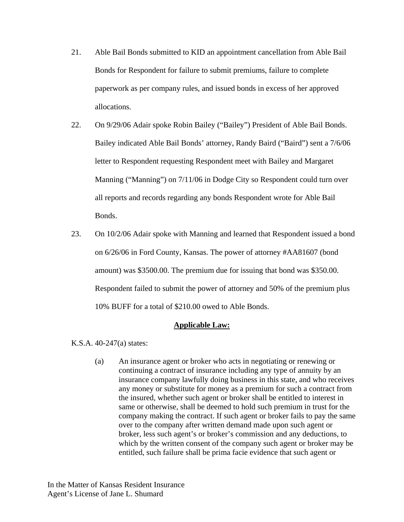- 21. Able Bail Bonds submitted to KID an appointment cancellation from Able Bail Bonds for Respondent for failure to submit premiums, failure to complete paperwork as per company rules, and issued bonds in excess of her approved allocations.
- 22. On 9/29/06 Adair spoke Robin Bailey ("Bailey") President of Able Bail Bonds. Bailey indicated Able Bail Bonds' attorney, Randy Baird ("Baird") sent a 7/6/06 letter to Respondent requesting Respondent meet with Bailey and Margaret Manning ("Manning") on 7/11/06 in Dodge City so Respondent could turn over all reports and records regarding any bonds Respondent wrote for Able Bail Bonds.
- 23. On 10/2/06 Adair spoke with Manning and learned that Respondent issued a bond on 6/26/06 in Ford County, Kansas. The power of attorney #AA81607 (bond amount) was \$3500.00. The premium due for issuing that bond was \$350.00. Respondent failed to submit the power of attorney and 50% of the premium plus 10% BUFF for a total of \$210.00 owed to Able Bonds.

#### **Applicable Law:**

K.S.A. 40-247(a) states:

(a) An insurance agent or broker who acts in negotiating or renewing or continuing a contract of insurance including any type of annuity by an insurance company lawfully doing business in this state, and who receives any money or substitute for money as a premium for such a contract from the insured, whether such agent or broker shall be entitled to interest in same or otherwise, shall be deemed to hold such premium in trust for the company making the contract. If such agent or broker fails to pay the same over to the company after written demand made upon such agent or broker, less such agent's or broker's commission and any deductions, to which by the written consent of the company such agent or broker may be entitled, such failure shall be prima facie evidence that such agent or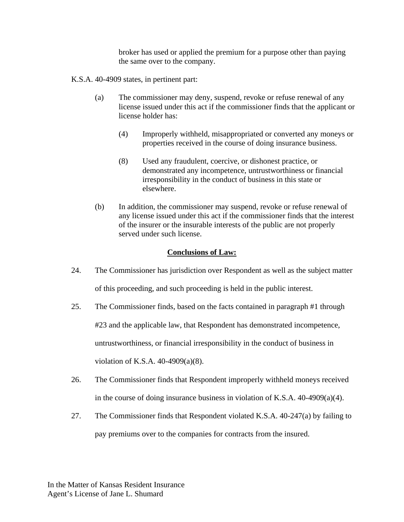broker has used or applied the premium for a purpose other than paying the same over to the company.

K.S.A. 40-4909 states, in pertinent part:

- (a) The commissioner may deny, suspend, revoke or refuse renewal of any license issued under this act if the commissioner finds that the applicant or license holder has:
	- (4) Improperly withheld, misappropriated or converted any moneys or properties received in the course of doing insurance business.
	- (8) Used any fraudulent, coercive, or dishonest practice, or demonstrated any incompetence, untrustworthiness or financial irresponsibility in the conduct of business in this state or elsewhere.
- (b) In addition, the commissioner may suspend, revoke or refuse renewal of any license issued under this act if the commissioner finds that the interest of the insurer or the insurable interests of the public are not properly served under such license.

## **Conclusions of Law:**

- 24. The Commissioner has jurisdiction over Respondent as well as the subject matter of this proceeding, and such proceeding is held in the public interest.
- 25. The Commissioner finds, based on the facts contained in paragraph #1 through #23 and the applicable law, that Respondent has demonstrated incompetence, untrustworthiness, or financial irresponsibility in the conduct of business in violation of K.S.A. 40-4909(a)(8).
- 26. The Commissioner finds that Respondent improperly withheld moneys received in the course of doing insurance business in violation of K.S.A. 40-4909(a)(4).
- 27. The Commissioner finds that Respondent violated K.S.A. 40-247(a) by failing to pay premiums over to the companies for contracts from the insured.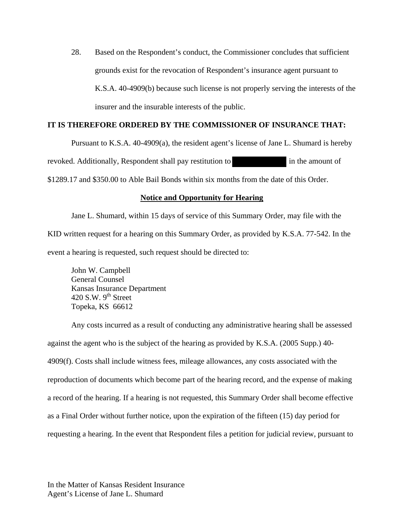28. Based on the Respondent's conduct, the Commissioner concludes that sufficient grounds exist for the revocation of Respondent's insurance agent pursuant to K.S.A. 40-4909(b) because such license is not properly serving the interests of the insurer and the insurable interests of the public.

# **IT IS THEREFORE ORDERED BY THE COMMISSIONER OF INSURANCE THAT:**

Pursuant to K.S.A. 40-4909(a), the resident agent's license of Jane L. Shumard is hereby revoked. Additionally, Respondent shall pay restitution to in the amount of \$1289.17 and \$350.00 to Able Bail Bonds within six months from the date of this Order.

## **Notice and Opportunity for Hearing**

Jane L. Shumard, within 15 days of service of this Summary Order, may file with the KID written request for a hearing on this Summary Order, as provided by K.S.A. 77-542. In the event a hearing is requested, such request should be directed to:

 John W. Campbell General Counsel Kansas Insurance Department 420 S.W.  $9^{\text{th}}$  Street Topeka, KS 66612

Any costs incurred as a result of conducting any administrative hearing shall be assessed against the agent who is the subject of the hearing as provided by K.S.A. (2005 Supp.) 40- 4909(f). Costs shall include witness fees, mileage allowances, any costs associated with the reproduction of documents which become part of the hearing record, and the expense of making a record of the hearing. If a hearing is not requested, this Summary Order shall become effective as a Final Order without further notice, upon the expiration of the fifteen (15) day period for requesting a hearing. In the event that Respondent files a petition for judicial review, pursuant to